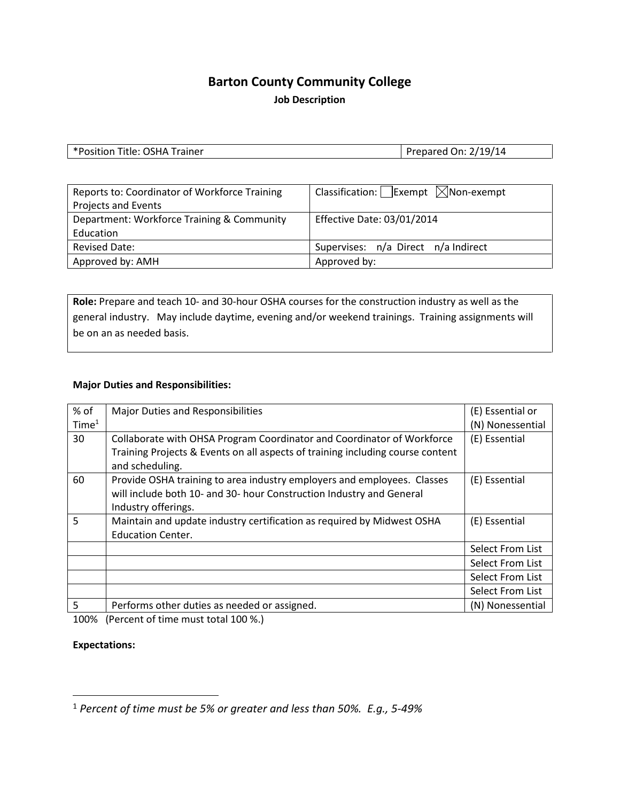# **Barton County Community College**

**Job Description**

| *Position Title: OSHA Trainer* | Prepared On: 2/19/14 |
|--------------------------------|----------------------|

| Reports to: Coordinator of Workforce Training | Classification: Exempt $\boxtimes$ Non-exempt |
|-----------------------------------------------|-----------------------------------------------|
| <b>Projects and Events</b>                    |                                               |
| Department: Workforce Training & Community    | <b>Effective Date: 03/01/2014</b>             |
| Education                                     |                                               |
| <b>Revised Date:</b>                          | Supervises: n/a Direct n/a Indirect           |
| Approved by: AMH                              | Approved by:                                  |

**Role:** Prepare and teach 10- and 30-hour OSHA courses for the construction industry as well as the general industry. May include daytime, evening and/or weekend trainings. Training assignments will be on an as needed basis.

### **Major Duties and Responsibilities:**

| $%$ of            | Major Duties and Responsibilities                                                                                                               | (E) Essential or |
|-------------------|-------------------------------------------------------------------------------------------------------------------------------------------------|------------------|
| Time <sup>1</sup> |                                                                                                                                                 | (N) Nonessential |
| 30                | Collaborate with OHSA Program Coordinator and Coordinator of Workforce                                                                          | (E) Essential    |
|                   | Training Projects & Events on all aspects of training including course content<br>and scheduling.                                               |                  |
| 60                | Provide OSHA training to area industry employers and employees. Classes<br>will include both 10- and 30- hour Construction Industry and General | (E) Essential    |
|                   | Industry offerings.                                                                                                                             |                  |
| 5                 | Maintain and update industry certification as required by Midwest OSHA                                                                          | (E) Essential    |
|                   | <b>Education Center.</b>                                                                                                                        |                  |
|                   |                                                                                                                                                 | Select From List |
|                   |                                                                                                                                                 | Select From List |
|                   |                                                                                                                                                 | Select From List |
|                   |                                                                                                                                                 | Select From List |
| 5                 | Performs other duties as needed or assigned.                                                                                                    | (N) Nonessential |

100% (Percent of time must total 100 %.)

### **Expectations:**

 <sup>1</sup> *Percent of time must be 5% or greater and less than 50%. E.g., 5-49%*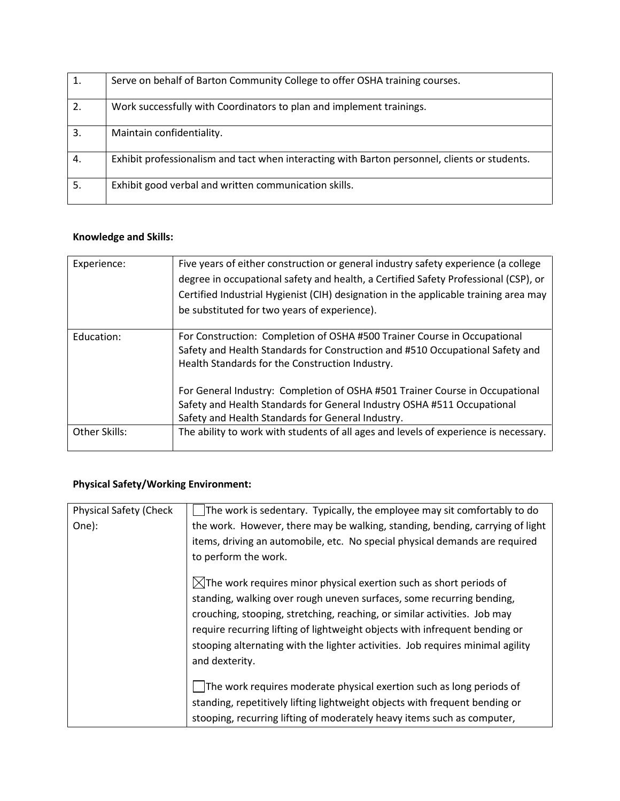| $\mathbf{1}$ . | Serve on behalf of Barton Community College to offer OSHA training courses.                   |
|----------------|-----------------------------------------------------------------------------------------------|
| 2.             | Work successfully with Coordinators to plan and implement trainings.                          |
| 3.             | Maintain confidentiality.                                                                     |
| 4.             | Exhibit professionalism and tact when interacting with Barton personnel, clients or students. |
| 5.             | Exhibit good verbal and written communication skills.                                         |

## **Knowledge and Skills:**

| Experience:   | Five years of either construction or general industry safety experience (a college   |
|---------------|--------------------------------------------------------------------------------------|
|               | degree in occupational safety and health, a Certified Safety Professional (CSP), or  |
|               | Certified Industrial Hygienist (CIH) designation in the applicable training area may |
|               | be substituted for two years of experience).                                         |
|               |                                                                                      |
| Education:    | For Construction: Completion of OSHA #500 Trainer Course in Occupational             |
|               | Safety and Health Standards for Construction and #510 Occupational Safety and        |
|               | Health Standards for the Construction Industry.                                      |
|               |                                                                                      |
|               | For General Industry: Completion of OSHA #501 Trainer Course in Occupational         |
|               | Safety and Health Standards for General Industry OSHA #511 Occupational              |
|               | Safety and Health Standards for General Industry.                                    |
| Other Skills: | The ability to work with students of all ages and levels of experience is necessary. |
|               |                                                                                      |

## **Physical Safety/Working Environment:**

| <b>Physical Safety (Check</b> | The work is sedentary. Typically, the employee may sit comfortably to do       |
|-------------------------------|--------------------------------------------------------------------------------|
| One):                         | the work. However, there may be walking, standing, bending, carrying of light  |
|                               | items, driving an automobile, etc. No special physical demands are required    |
|                               | to perform the work.                                                           |
|                               | $\boxtimes$ The work requires minor physical exertion such as short periods of |
|                               | standing, walking over rough uneven surfaces, some recurring bending,          |
|                               | crouching, stooping, stretching, reaching, or similar activities. Job may      |
|                               | require recurring lifting of lightweight objects with infrequent bending or    |
|                               | stooping alternating with the lighter activities. Job requires minimal agility |
|                               | and dexterity.                                                                 |
|                               | The work requires moderate physical exertion such as long periods of           |
|                               | standing, repetitively lifting lightweight objects with frequent bending or    |
|                               | stooping, recurring lifting of moderately heavy items such as computer,        |